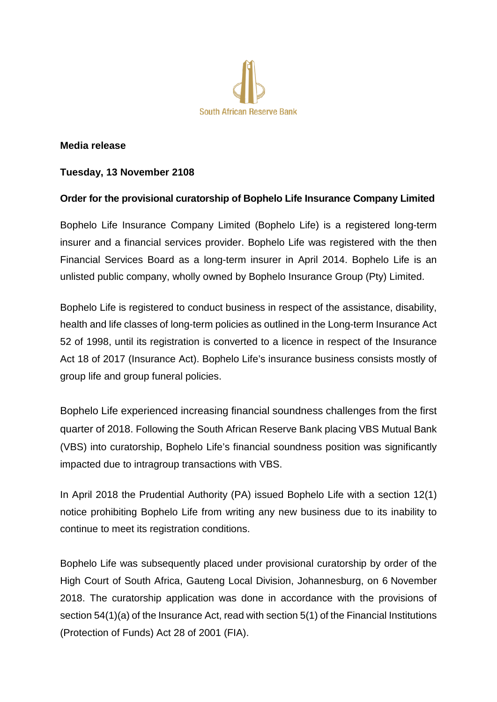

## **Media release**

## **Tuesday, 13 November 2108**

## **Order for the provisional curatorship of Bophelo Life Insurance Company Limited**

Bophelo Life Insurance Company Limited (Bophelo Life) is a registered long-term insurer and a financial services provider. Bophelo Life was registered with the then Financial Services Board as a long-term insurer in April 2014. Bophelo Life is an unlisted public company, wholly owned by Bophelo Insurance Group (Pty) Limited.

Bophelo Life is registered to conduct business in respect of the assistance, disability, health and life classes of long-term policies as outlined in the Long-term Insurance Act 52 of 1998, until its registration is converted to a licence in respect of the Insurance Act 18 of 2017 (Insurance Act). Bophelo Life's insurance business consists mostly of group life and group funeral policies.

Bophelo Life experienced increasing financial soundness challenges from the first quarter of 2018. Following the South African Reserve Bank placing VBS Mutual Bank (VBS) into curatorship, Bophelo Life's financial soundness position was significantly impacted due to intragroup transactions with VBS.

In April 2018 the Prudential Authority (PA) issued Bophelo Life with a section 12(1) notice prohibiting Bophelo Life from writing any new business due to its inability to continue to meet its registration conditions.

Bophelo Life was subsequently placed under provisional curatorship by order of the High Court of South Africa, Gauteng Local Division, Johannesburg, on 6 November 2018. The curatorship application was done in accordance with the provisions of section 54(1)(a) of the Insurance Act, read with section 5(1) of the Financial Institutions (Protection of Funds) Act 28 of 2001 (FIA).